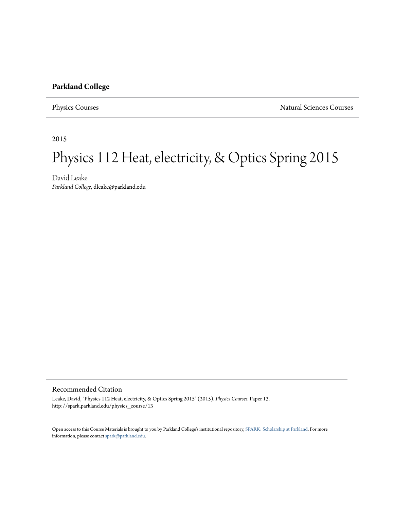### **Parkland College**

Physics Courses Natural Sciences Courses

2015

# Physics 112 Heat, electricity, & Optics Spring 2015

David Leake *Parkland College*, dleake@parkland.edu

#### Recommended Citation

Leake, David, "Physics 112 Heat, electricity, & Optics Spring 2015" (2015). *Physics Courses.* Paper 13. http://spark.parkland.edu/physics\_course/13

Open access to this Course Materials is brought to you by Parkland College's institutional repository, [SPARK: Scholarship at Parkland](http://spark.parkland.edu/). For more information, please contact [spark@parkland.edu](mailto:spark@parkland.edu).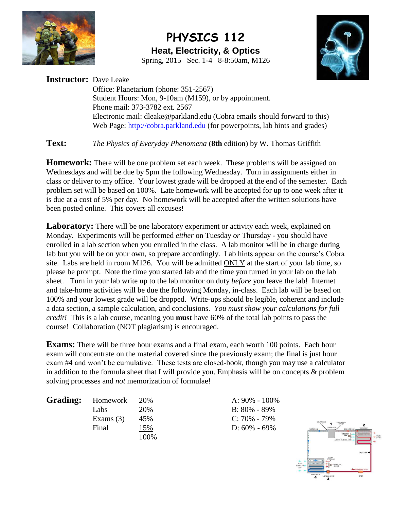

## **PHYSICS 112 Heat, Electricity, & Optics** Spring, 2015 Sec. 1-4 8-8:50am, M126



**Instructor:** Dave Leake Office: Planetarium (phone: 351-2567) Student Hours: Mon, 9-10am (M159), or by appointment. Phone mail: 373-3782 ext. 2567 Electronic mail: [dleake@parkland.edu](mailto:dleake@parkland.edu) (Cobra emails should forward to this) Web Page: [http://cobra.parkland.edu](http://cobra.parkland.edu/) (for powerpoints, lab hints and grades)

**Text:** *The Physics of Everyday Phenomena* (**8th** edition) by W. Thomas Griffith

**Homework:** There will be one problem set each week. These problems will be assigned on Wednesdays and will be due by 5pm the following Wednesday. Turn in assignments either in class or deliver to my office. Your lowest grade will be dropped at the end of the semester. Each problem set will be based on 100%. Late homework will be accepted for up to one week after it is due at a cost of 5% per day. No homework will be accepted after the written solutions have been posted online. This covers all excuses!

**Laboratory:** There will be one laboratory experiment or activity each week, explained on Monday. Experiments will be performed *either* on Tuesday *or* Thursday - you should have enrolled in a lab section when you enrolled in the class. A lab monitor will be in charge during lab but you will be on your own, so prepare accordingly. Lab hints appear on the course's Cobra site. Labs are held in room M126. You will be admitted ONLY at the start of your lab time, so please be prompt. Note the time you started lab and the time you turned in your lab on the lab sheet. Turn in your lab write up to the lab monitor on duty *before* you leave the lab! Internet and take-home activities will be due the following Monday, in-class. Each lab will be based on 100% and your lowest grade will be dropped. Write-ups should be legible, coherent and include a data section, a sample calculation, and conclusions. *You must show your calculations for full credit!* This is a lab course, meaning you **must** have 60% of the total lab points to pass the course! Collaboration (NOT plagiarism) is encouraged.

**Exams:** There will be three hour exams and a final exam, each worth 100 points. Each hour exam will concentrate on the material covered since the previously exam; the final is just hour exam #4 and won't be cumulative. These tests are closed-book, though you may use a calculator in addition to the formula sheet that I will provide you. Emphasis will be on concepts & problem solving processes and *not* memorization of formulae!

Labs 20% B: 80% - 89% Exams (3) 45% C: 70% - 79% Final 15% D: 60% - 69% 100%

**Grading:** Homework 20% **A: 90% - 100%** 

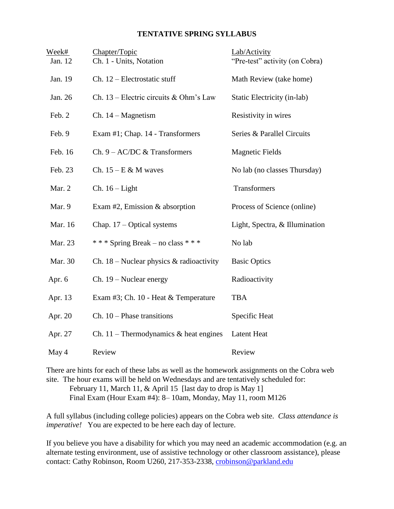#### **TENTATIVE SPRING SYLLABUS**

| Week#<br>Jan. 12 | Chapter/Topic<br>Ch. 1 - Units, Notation   | Lab/Activity<br>"Pre-test" activity (on Cobra) |
|------------------|--------------------------------------------|------------------------------------------------|
| Jan. 19          | Ch. 12 - Electrostatic stuff               | Math Review (take home)                        |
| Jan. 26          | Ch. $13$ – Electric circuits & Ohm's Law   | Static Electricity (in-lab)                    |
| Feb. 2           | $Ch. 14-Magnetism$                         | Resistivity in wires                           |
| Feb. 9           | Exam #1; Chap. 14 - Transformers           | Series & Parallel Circuits                     |
| Feb. 16          | Ch. $9 - AC/DC$ & Transformers             | <b>Magnetic Fields</b>                         |
| Feb. 23          | Ch. $15 - E & M$ waves                     | No lab (no classes Thursday)                   |
| Mar. 2           | $Ch. 16 - Light$                           | Transformers                                   |
| Mar. 9           | Exam #2, Emission $&$ absorption           | Process of Science (online)                    |
| Mar. 16          | Chap. $17 - Optical$ systems               | Light, Spectra, & Illumination                 |
| Mar. 23          | *** Spring Break – no class ***            | No lab                                         |
| Mar. 30          | Ch. $18$ – Nuclear physics & radioactivity | <b>Basic Optics</b>                            |
| Apr. 6           | $Ch. 19 - Nuclear energy$                  | Radioactivity                                  |
| Apr. 13          | Exam #3; Ch. 10 - Heat & Temperature       | <b>TBA</b>                                     |
| Apr. 20          | $Ch. 10$ – Phase transitions               | Specific Heat                                  |
| Apr. 27          | Ch. 11 – Thermodynamics $\&$ heat engines  | <b>Latent Heat</b>                             |
| May 4            | Review                                     | Review                                         |

There are hints for each of these labs as well as the homework assignments on the Cobra web site. The hour exams will be held on Wednesdays and are tentatively scheduled for: February 11, March 11, & April 15 [last day to drop is May 1]

Final Exam (Hour Exam #4): 8– 10am, Monday, May 11, room M126

A full syllabus (including college policies) appears on the Cobra web site. *Class attendance is imperative!* You are expected to be here each day of lecture.

If you believe you have a disability for which you may need an academic accommodation (e.g. an alternate testing environment, use of assistive technology or other classroom assistance), please contact: Cathy Robinson, Room U260, 217-353-2338, [crobinson@parkland.edu](mailto:crobinson@parkland.edu)